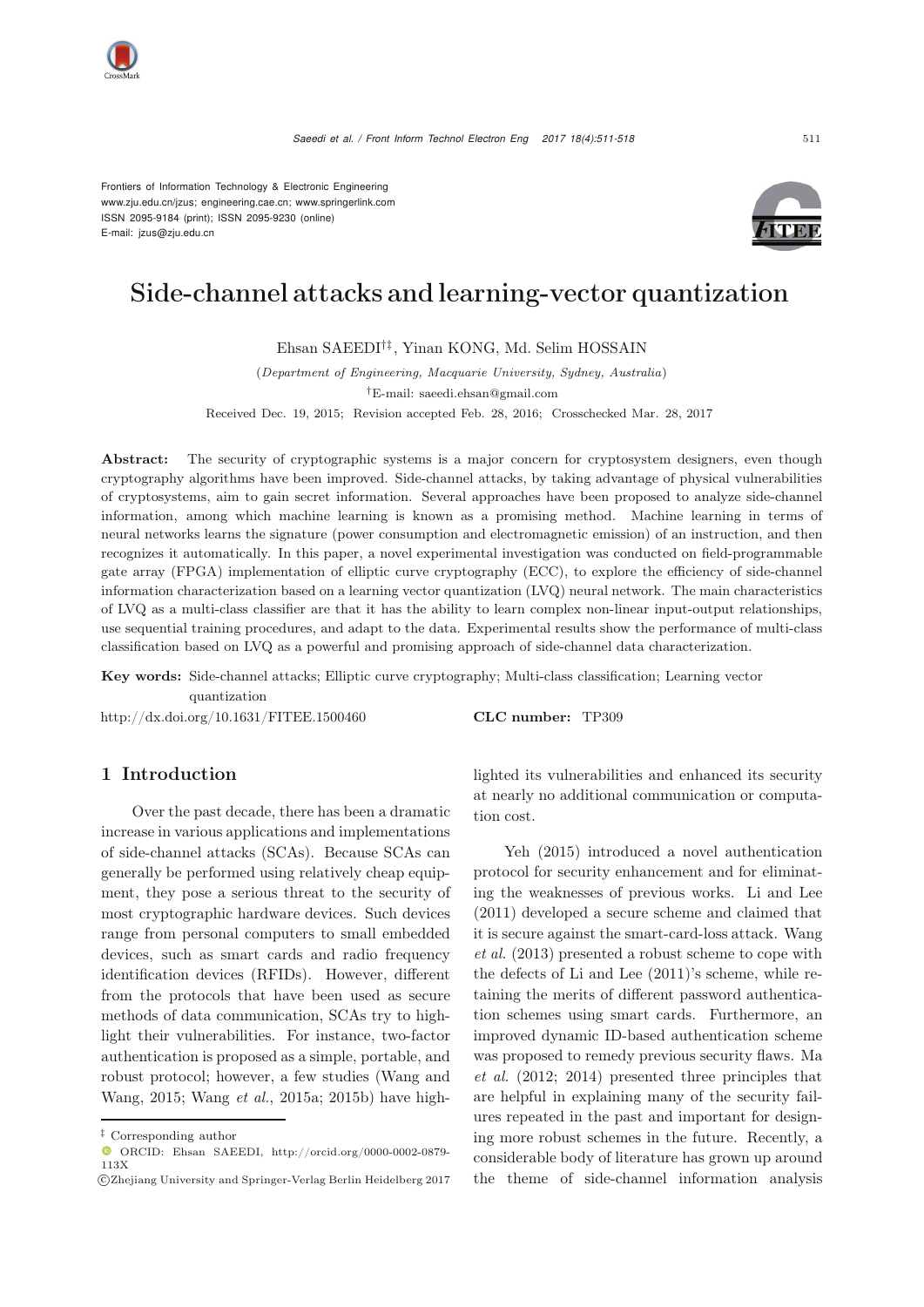

Frontiers of Information Technology & Electronic Engineering www.zju.edu.cn/jzus; engineering.cae.cn; www.springerlink.com ISSN 2095-9184 (print); ISSN 2095-9230 (online) E-mail: jzus@zju.edu.cn

# Side-channel attacks and learning-vector quantization

Ehsan SAEEDI*†‡*, Yinan KONG, Md. Selim HOSSAIN

(*Department of Engineering, Macquarie University, Sydney, Australia*) *†*E-mail: saeedi.ehsan@gmail.com Received Dec. 19, 2015; Revision accepted Feb. 28, 2016; Crosschecked Mar. 28, 2017

Abstract: The security of cryptographic systems is a major concern for cryptosystem designers, even though cryptography algorithms have been improved. Side-channel attacks, by taking advantage of physical vulnerabilities of cryptosystems, aim to gain secret information. Several approaches have been proposed to analyze side-channel information, among which machine learning is known as a promising method. Machine learning in terms of neural networks learns the signature (power consumption and electromagnetic emission) of an instruction, and then recognizes it automatically. In this paper, a novel experimental investigation was conducted on field-programmable gate array (FPGA) implementation of elliptic curve cryptography (ECC), to explore the efficiency of side-channel information characterization based on a learning vector quantization (LVQ) neural network. The main characteristics of LVQ as a multi-class classifier are that it has the ability to learn complex non-linear input-output relationships, use sequential training procedures, and adapt to the data. Experimental results show the performance of multi-class classification based on LVQ as a powerful and promising approach of side-channel data characterization.

Key words: Side-channel attacks; Elliptic curve cryptography; Multi-class classification; Learning vector quantization

http://dx.doi.org/10.1631/FITEE.1500460 CLC number: TP309

### 1 Introduction

Over the past decade, there has been a dramatic increase in various applications and implementations of side-channel attacks (SCAs). Because SCAs can generally be performed using relatively cheap equipment, they pose a serious threat to the security of most cryptographic hardware devices. Such devices range from personal computers to small embedded devices, such as smart cards and radio frequency identification devices (RFIDs). However, different from the protocols that have been used as secure methods of data communication, SCAs try to highlight their vulnerabilities. For instance, two-factor authentication is proposed as a simple, portable, and robust protocol; however, a few studies (Wang and Wang, 2015; Wang *et al.*, 2015a; 2015b) have highlighted its vulnerabilities and enhanced its security at nearly no additional communication or computa[tion](#page-7-0) [cost](#page-7-0).

Yeh [\(2015](#page-7-0)) introduced a novel authentication protocol for security enhancement and for eliminating the weaknesses of previous works. [Li and Lee](#page-6-0) [\(2011](#page-6-0)) developed a secure scheme and claimed that it is [secure](#page-7-1) [against](#page-7-1) [the](#page-7-1) [smart-card-loss](#page-7-1) [attack.](#page-7-1) Wang *et al.* [\(2013\)](#page-7-1) presented a robust scheme to cope with the defects of [Li and Lee](#page-6-0) [\(2011](#page-6-0))'s scheme, while retaining the merits of different password authentication schemes using smart cards. Furthermore, an improved dynamic ID-based authentication scheme was proposed to remedy previous security flaws. Ma *et al.* (2012; 2014) presented three principles that are helpful in explaining many of the security failures repeated in the past and important for designing more robust schemes in the future. Recently, a considerable body of literature has grown up around the theme of side-channel information analysis

*<sup>‡</sup>* Corresponding author

ORCID: Ehsan SAEEDI, http://orcid.org/0000-0002-0879- 113X

<sup>-</sup>c Zhejiang University and Springer-Verlag Berlin Heidelberg 2017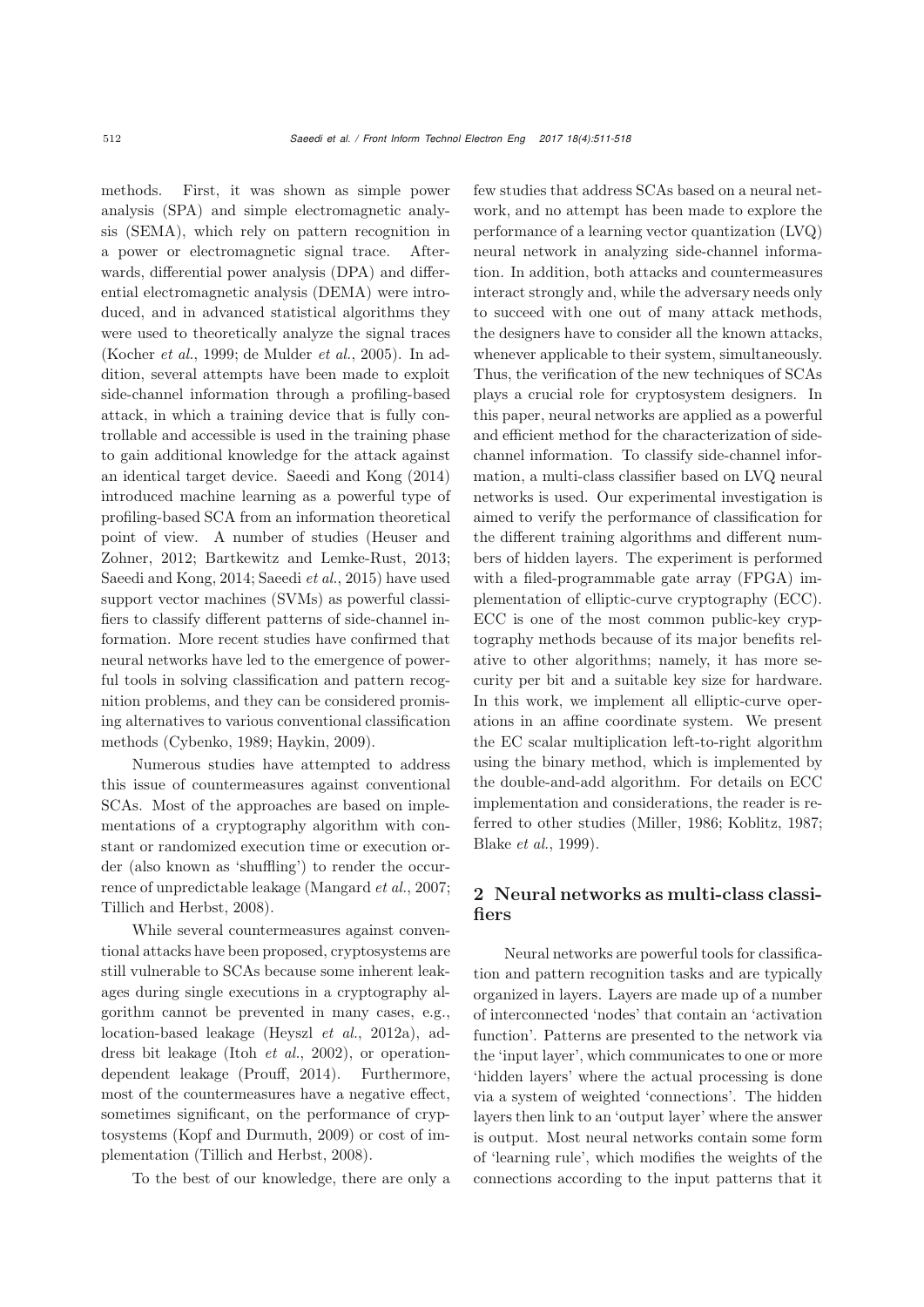methods. First, it was shown as simple power analysis (SPA) and simple electromagnetic analysis (SEMA), which rely on pattern recognition in a power or electromagnetic signal trace. Afterwards, differential power analysis (DPA) and differential electromagnetic analysis (DEMA) were introduced, and in advanced statistical algorithms they were used to theoretically analyze the signal traces [\(Kocher](#page-6-1) *et al.*, [1999](#page-6-1); [de Mulder](#page-6-2) *et al.*, [2005\)](#page-6-2). In addition, several attempts have been made to exploit side-channel information through a profiling-based attack, in which a training device that is fully controllable and accessible is used in the training phase to gain additional knowledge for the attack against an identical target device. [Saeedi and Kong](#page-7-2) [\(2014](#page-7-2)) introduced machine learning as a powerful type of profiling-based SCA from an information theoretical point [of](#page-6-3) [view.](#page-6-3) [A](#page-6-3) [number](#page-6-3) [of](#page-6-3) [studies](#page-6-3) [\(](#page-6-3)Heuser and Zohner, [2012](#page-6-3); [Bartkewitz and Lemke-Rust](#page-6-4), [2013;](#page-6-4) [Saeedi and Kong, 2014;](#page-7-2) [Saeedi](#page-7-3) *et al.*, [2015\)](#page-7-3) have used support vector machines (SVMs) as powerful classifiers to classify different patterns of side-channel information. More recent studies have confirmed that neural networks have led to the emergence of powerful tools in solving classification and pattern recognition problems, and they can be considered promising alternatives to various conventional classification methods [\(Cybenko](#page-6-5), [1989](#page-6-5); [Haykin, 2009](#page-6-6)).

Numerous studies have attempted to address this issue of countermeasures against conventional SCAs. Most of the approaches are based on implementations of a cryptography algorithm with constant or randomized execution time or execution order (also known as 'shuffling') to render the occurrence of unpredictable leakage [\(Mangard](#page-6-7) *et al.*, [2007;](#page-6-7) [Tillich and Herbst](#page-7-4), [2008](#page-7-4)).

While several countermeasures against conventional attacks have been proposed, cryptosystems are still vulnerable to SCAs because some inherent leakages during single executions in a cryptography algorithm cannot be prevented in many cases, e.g., location-based leakage [\(Heyszl](#page-6-8) *et al.*, [2012a](#page-6-8)), address bit leakage (Itoh *[et al.](#page-6-9)*, [2002\)](#page-6-9), or operationdependent leakage [\(Prouff](#page-7-5), [2014](#page-7-5)). Furthermore, most of the countermeasures have a negative effect, sometimes significant, on the performance of cryptosystems [\(Kopf and Durmuth](#page-6-10), [2009\)](#page-6-10) or cost of implementation [\(Tillich and Herbst](#page-7-4), [2008\)](#page-7-4).

To the best of our knowledge, there are only a

few studies that address SCAs based on a neural network, and no attempt has been made to explore the performance of a learning vector quantization (LVQ) neural network in analyzing side-channel information. In addition, both attacks and countermeasures interact strongly and, while the adversary needs only to succeed with one out of many attack methods, the designers have to consider all the known attacks, whenever applicable to their system, simultaneously. Thus, the verification of the new techniques of SCAs plays a crucial role for cryptosystem designers. In this paper, neural networks are applied as a powerful and efficient method for the characterization of sidechannel information. To classify side-channel information, a multi-class classifier based on LVQ neural networks is used. Our experimental investigation is aimed to verify the performance of classification for the different training algorithms and different numbers of hidden layers. The experiment is performed with a filed-programmable gate array (FPGA) implementation of elliptic-curve cryptography (ECC). ECC is one of the most common public-key cryptography methods because of its major benefits relative to other algorithms; namely, it has more security per bit and a suitable key size for hardware. In this work, we implement all elliptic-curve operations in an affine coordinate system. We present the EC scalar multiplication left-to-right algorithm using the binary method, which is implemented by the double-and-add algorithm. For details on ECC implementation and considerations, the reader is referred to other studies [\(Miller](#page-6-11), [1986](#page-6-11); [Koblitz](#page-6-12), [1987;](#page-6-12) [Blake](#page-6-13) *et al.*, [1999\)](#page-6-13).

## 2 Neural networks as multi-class classifiers

Neural networks are powerful tools for classification and pattern recognition tasks and are typically organized in layers. Layers are made up of a number of interconnected 'nodes' that contain an 'activation function'. Patterns are presented to the network via the 'input layer', which communicates to one or more 'hidden layers' where the actual processing is done via a system of weighted 'connections'. The hidden layers then link to an 'output layer' where the answer is output. Most neural networks contain some form of 'learning rule', which modifies the weights of the connections according to the input patterns that it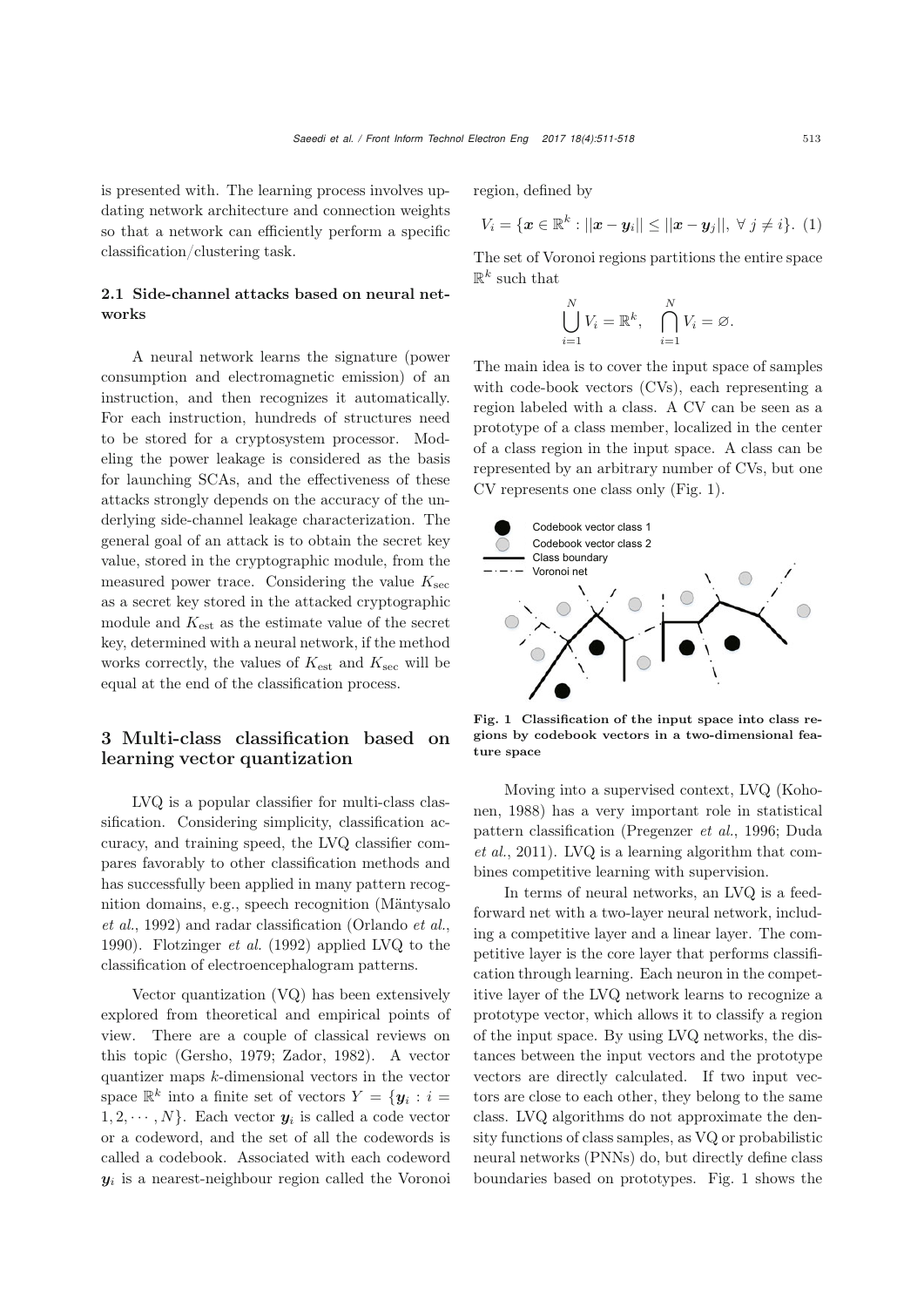is presented with. The learning process involves updating network architecture and connection weights so that a network can efficiently perform a specific classification/clustering task.

### 2.1 Side-channel attacks based on neural networks

A neural network learns the signature (power consumption and electromagnetic emission) of an instruction, and then recognizes it automatically. For each instruction, hundreds of structures need to be stored for a cryptosystem processor. Modeling the power leakage is considered as the basis for launching SCAs, and the effectiveness of these attacks strongly depends on the accuracy of the underlying side-channel leakage characterization. The general goal of an attack is to obtain the secret key value, stored in the cryptographic module, from the measured power trace. Considering the value  $K_{\text{sec}}$ as a secret key stored in the attacked cryptographic module and  $K_{est}$  as the estimate value of the secret key, determined with a neural network, if the method works correctly, the values of  $K_{est}$  and  $K_{sec}$  will be equal at the end of the classification process.

### 3 Multi-class classification based on learning vector quantization

LVQ is a popular classifier for multi-class classification. Considering simplicity, classification accuracy, and training speed, the LVQ classifier compares favorably to other classification methods and has successfully been applied in many pattern recognitio[n](#page-6-14) [domains,](#page-6-14) [e.g.,](#page-6-14) [speech](#page-6-14) [recognition](#page-6-14) [\(](#page-6-14)Mäntysalo *et al.*, [1992\)](#page-6-14) and radar classification [\(Orlando](#page-6-15) *et al.*, [1990](#page-6-15)). [Flotzinger](#page-6-16) *et al.* [\(1992\)](#page-6-16) applied LVQ to the classification of electroencephalogram patterns.

Vector quantization (VQ) has been extensively explored from theoretical and empirical points of view. There are a couple of classical reviews on this topic [\(Gersho](#page-6-17), [1979;](#page-6-17) [Zador, 1982](#page-7-6)). A vector quantizer maps  $k$ -dimensional vectors in the vector space  $\mathbb{R}^k$  into a finite set of vectors  $Y = \{y_i : i =$  $1, 2, \dots, N$ . Each vector  $y_i$  is called a code vector or a codeword, and the set of all the codewords is called a codebook. Associated with each codeword *y<sup>i</sup>* is a nearest-neighbour region called the Voronoi region, defined by

$$
V_i = \{ \boldsymbol{x} \in \mathbb{R}^k : ||\boldsymbol{x} - \boldsymbol{y}_i|| \le ||\boldsymbol{x} - \boldsymbol{y}_j||, \ \forall \ j \neq i \}. \ \ (1)
$$

The set of Voronoi regions partitions the entire space  $\mathbb{R}^k$  such that

$$
\bigcup_{i=1}^N V_i = \mathbb{R}^k, \quad \bigcap_{i=1}^N V_i = \varnothing.
$$

The main idea is to cover the input space of samples with code-book vectors (CVs), each representing a region labeled with a class. A CV can be seen as a prototype of a class member, localized in the center of a class region in the input space. A class can be represented by an arbitrary number of CVs, but one CV represents one class only (Fig. [1\)](#page-2-0).



<span id="page-2-0"></span>Fig. 1 Classification of the input space into class regions by codebook vectors in a two-dimensional feature space

[Moving](#page-6-18) [into](#page-6-18) [a](#page-6-18) [supervised](#page-6-18) [context,](#page-6-18) [LVQ](#page-6-18) [\(](#page-6-18)Kohonen, [1988\)](#page-6-18) has a very important role in statistical patt[ern](#page-6-19) [classification](#page-6-19) [\(Pregenzer](#page-7-7) *et al.*, [1996;](#page-7-7) Duda *et al.*, [2011\)](#page-6-19). LVQ is a learning algorithm that combines competitive learning with supervision.

In terms of neural networks, an LVQ is a feedforward net with a two-layer neural network, including a competitive layer and a linear layer. The competitive layer is the core layer that performs classification through learning. Each neuron in the competitive layer of the LVQ network learns to recognize a prototype vector, which allows it to classify a region of the input space. By using LVQ networks, the distances between the input vectors and the prototype vectors are directly calculated. If two input vectors are close to each other, they belong to the same class. LVQ algorithms do not approximate the density functions of class samples, as VQ or probabilistic neural networks (PNNs) do, but directly define class boundaries based on prototypes. Fig. [1](#page-2-0) shows the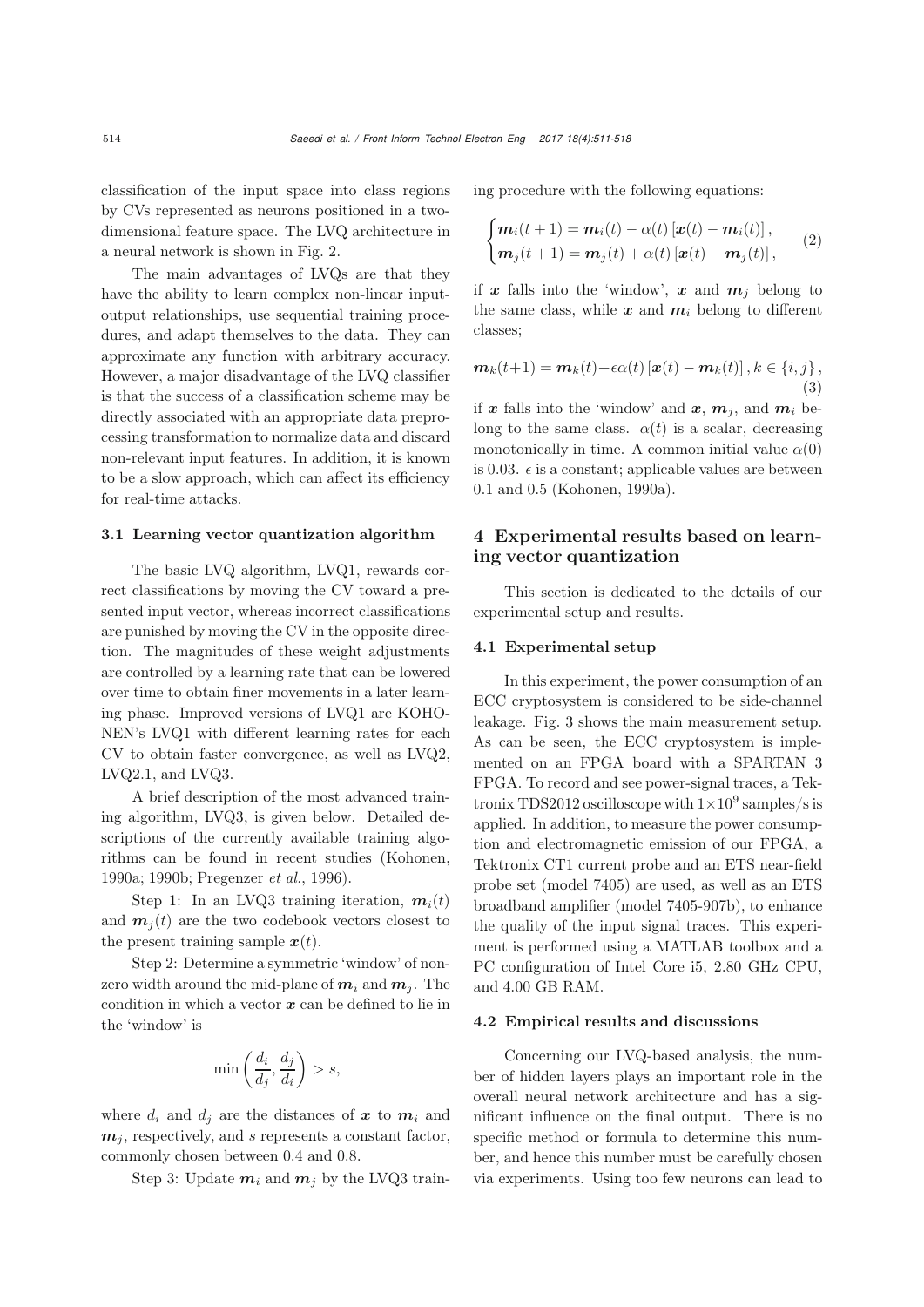classification of the input space into class regions by CVs represented as neurons positioned in a twodimensional feature space. The LVQ architecture in a neural network is shown in Fig. [2.](#page-4-0)

The main advantages of LVQs are that they have the ability to learn complex non-linear inputoutput relationships, use sequential training procedures, and adapt themselves to the data. They can approximate any function with arbitrary accuracy. However, a major disadvantage of the LVQ classifier is that the success of a classification scheme may be directly associated with an appropriate data preprocessing transformation to normalize data and discard non-relevant input features. In addition, it is known to be a slow approach, which can affect its efficiency for real-time attacks.

#### 3.1 Learning vector quantization algorithm

The basic LVQ algorithm, LVQ1, rewards correct classifications by moving the CV toward a presented input vector, whereas incorrect classifications are punished by moving the CV in the opposite direction. The magnitudes of these weight adjustments are controlled by a learning rate that can be lowered over time to obtain finer movements in a later learning phase. Improved versions of LVQ1 are KOHO-NEN's LVQ1 with different learning rates for each CV to obtain faster convergence, as well as LVQ2, LVQ2.1, and LVQ3.

A brief description of the most advanced training algorithm, LVQ3, is given below. Detailed descriptions of the currently available training algorithms can be found in recent studies (Kohonen, 1990a; 1990b; Pregenzer *et al.*, 1996).

Step 1: In an LVQ3 training iteration,  $m_i(t)$ and  $m_i(t)$  are the two codebook vectors closest to the present training sample  $x(t)$ .

Step 2: Determine a symmetric 'window' of nonzero width around the mid-plane of  $m_i$  and  $m_j$ . The condition in which a vector *x* can be defined to lie in the 'window' is

$$
\min\left(\frac{d_i}{d_j}, \frac{d_j}{d_i}\right) > s,
$$

where  $d_i$  and  $d_j$  are the distances of x to  $m_i$  and  $m<sub>i</sub>$ , respectively, and s represents a constant factor, commonly chosen between 0.4 and 0.8.

Step 3: Update  $m_i$  and  $m_j$  by the LVQ3 train-

ing procedure with the following equations:

$$
\begin{cases}\n m_i(t+1) = m_i(t) - \alpha(t) \left[ \mathbf{x}(t) - \mathbf{m}_i(t) \right], \\
m_j(t+1) = m_j(t) + \alpha(t) \left[ \mathbf{x}(t) - \mathbf{m}_j(t) \right],\n\end{cases} (2)
$$

if  $x$  falls into the 'window',  $x$  and  $m_j$  belong to the same class, while  $x$  and  $m_i$  belong to different classes;

$$
\boldsymbol{m}_k(t+1) = \boldsymbol{m}_k(t) + \epsilon \alpha(t) \left[ \boldsymbol{x}(t) - \boldsymbol{m}_k(t) \right], k \in \{i, j\},\tag{3}
$$

if  $x$  falls into the 'window' and  $x, m_j$ , and  $m_i$  belong to the same class.  $\alpha(t)$  is a scalar, decreasing monotonically in time. A common initial value  $\alpha(0)$ is 0.03.  $\epsilon$  is a constant; applicable values are between 0.1 and 0.5 (Kohonen, 1990a).

## 4 Experimental results based on learning vector quantization

This section is dedicated to the details of our experimental setup and results.

#### 4.1 Experimental setup

In this experiment, the power consumption of an ECC cryptosystem is considered to be side-channel leakage. Fig. [3](#page-4-1) shows the main measurement setup. As can be seen, the ECC cryptosystem is implemented on an FPGA board with a SPARTAN 3 FPGA. To record and see power-signal traces, a Tektronix TDS2012 oscilloscope with  $1\times10^9$  samples/s is applied. In addition, to measure the power consumption and electromagnetic emission of our FPGA, a Tektronix CT1 current probe and an ETS near-field probe set (model 7405) are used, as well as an ETS broadband amplifier (model 7405-907b), to enhance the quality of the input signal traces. This experiment is performed using a MATLAB toolbox and a PC configuration of Intel Core i5, 2.80 GHz CPU, and 4.00 GB RAM.

#### 4.2 Empirical results and discussions

Concerning our LVQ-based analysis, the number of hidden layers plays an important role in the overall neural network architecture and has a significant influence on the final output. There is no specific method or formula to determine this number, and hence this number must be carefully chosen via experiments. Using too few neurons can lead to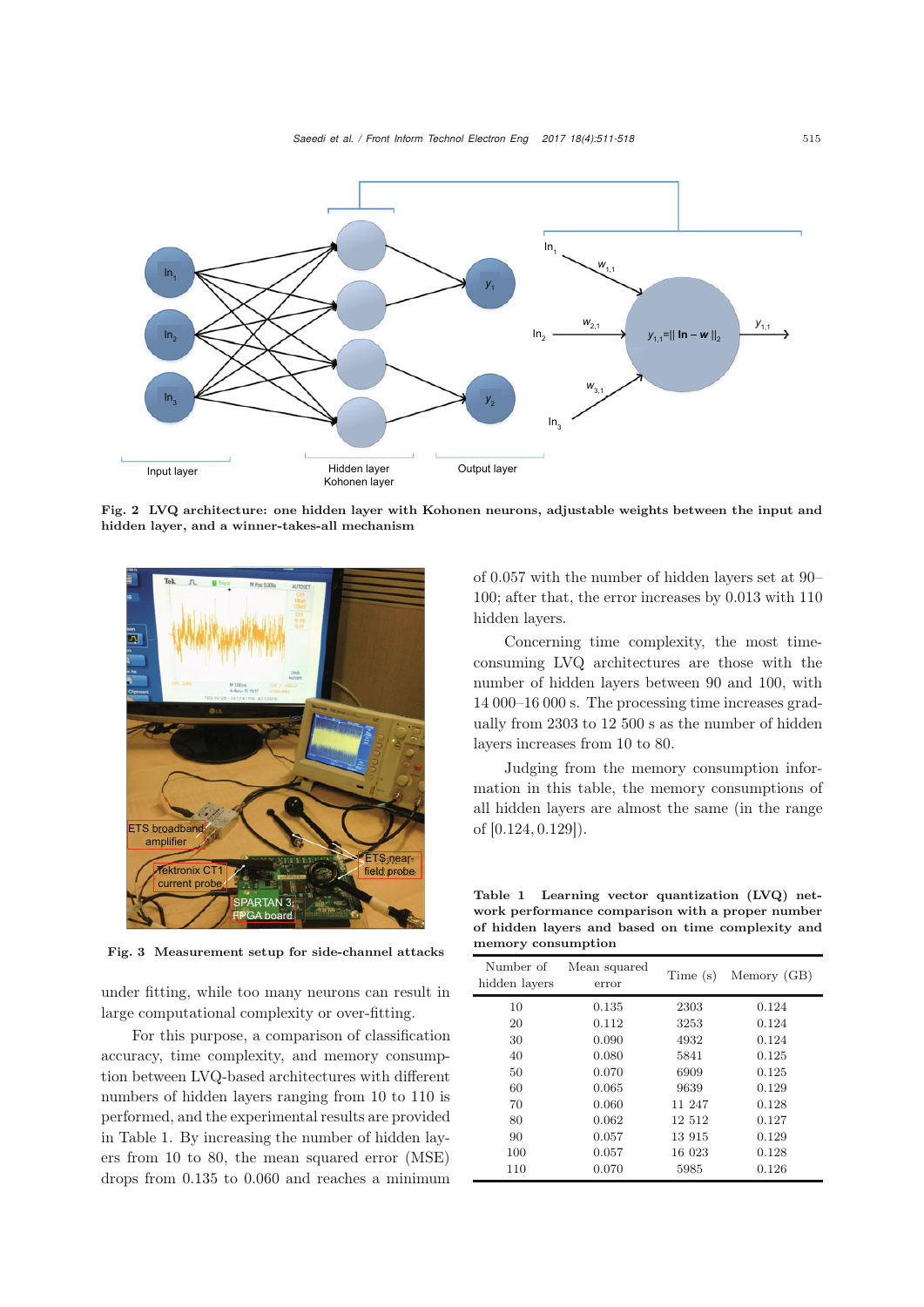

<span id="page-4-0"></span>Fig. 2 LVQ architecture: one hidden layer with Kohonen neurons, adjustable weights between the input and hidden layer, and a winner-takes-all mechanism



<span id="page-4-1"></span>Fig. 3 Measurement setup for side-channel attacks

under fitting, while too many neurons can result in large computational complexity or over-fitting.

For this purpose, a comparison of classification accuracy, time complexity, and memory consumption between LVQ-based architectures with different numbers of hidden layers ranging from 10 to 110 is performed, and the experimental results are provided in Table [1.](#page-4-2) By increasing the number of hidden layers from 10 to 80, the mean squared error (MSE) drops from 0.135 to 0.060 and reaches a minimum

of 0.057 with the number of hidden layers set at 90– 100; after that, the error increases by 0.013 with 110 hidden layers.

Concerning time complexity, the most timeconsuming LVQ architectures are those with the number of hidden layers between 90 and 100, with 14 000–16 000 s. The processing time increases gradually from 2303 to 12 500 s as the number of hidden layers increases from 10 to 80.

Judging from the memory consumption information in this table, the memory consumptions of all hidden layers are almost the same (in the range of [0.124, 0.129]).

<span id="page-4-2"></span>Table 1 Learning vector quantization (LVQ) network performance comparison with a proper number of hidden layers and based on time complexity and memory consumption

| Number of<br>hidden layers | Mean squared<br>error | Time (s) | Memory (GB) |
|----------------------------|-----------------------|----------|-------------|
| 10                         | 0.135                 | 2303     | 0.124       |
| 20                         | 0.112                 | 3253     | 0.124       |
| 30                         | 0.090                 | 4932     | 0.124       |
| 40                         | 0.080                 | 5841     | 0.125       |
| 50                         | 0.070                 | 6909     | 0.125       |
| 60                         | 0.065                 | 9639     | 0.129       |
| 70                         | 0.060                 | 11 247   | 0.128       |
| 80                         | 0.062                 | 12 512   | 0.127       |
| 90                         | 0.057                 | 13 915   | 0.129       |
| 100                        | 0.057                 | 16 023   | 0.128       |
| 110                        | 0.070                 | 5985     | 0.126       |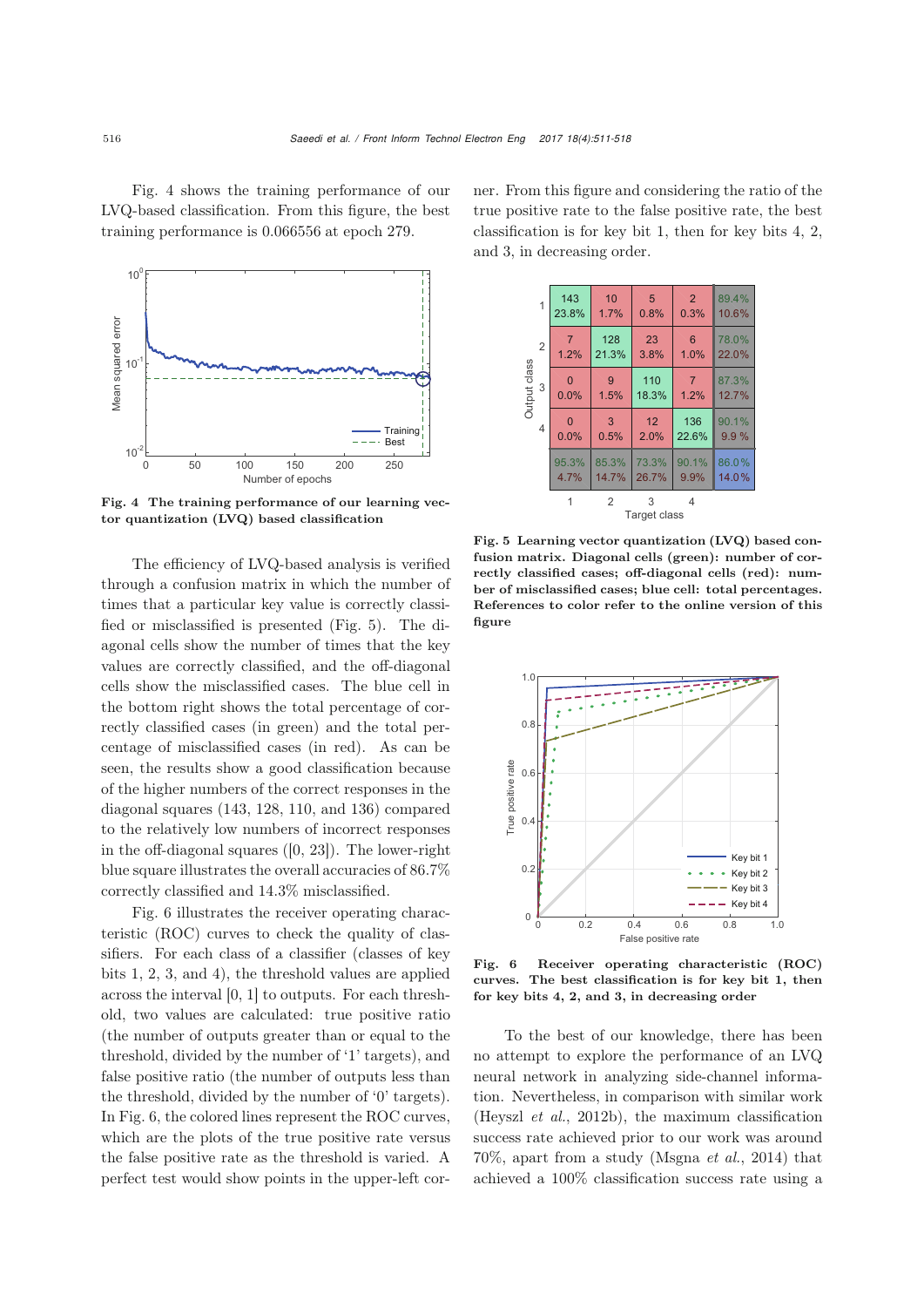Fig. [4](#page-5-0) shows the training performance of our LVQ-based classification. From this figure, the best training performance is 0.066556 at epoch 279.



<span id="page-5-0"></span>Fig. 4 The training performance of our learning vector quantization (LVQ) based classification

The efficiency of LVQ-based analysis is verified through a confusion matrix in which the number of times that a particular key value is correctly classified or misclassified is presented (Fig. [5\)](#page-5-1). The diagonal cells show the number of times that the key values are correctly classified, and the off-diagonal cells show the misclassified cases. The blue cell in the bottom right shows the total percentage of correctly classified cases (in green) and the total percentage of misclassified cases (in red). As can be seen, the results show a good classification because of the higher numbers of the correct responses in the diagonal squares (143, 128, 110, and 136) compared to the relatively low numbers of incorrect responses in the off-diagonal squares ([0, 23]). The lower-right blue square illustrates the overall accuracies of 86.7% correctly classified and 14.3% misclassified.

Fig. [6](#page-5-2) illustrates the receiver operating characteristic (ROC) curves to check the quality of classifiers. For each class of a classifier (classes of key bits 1, 2, 3, and 4), the threshold values are applied across the interval [0, 1] to outputs. For each threshold, two values are calculated: true positive ratio (the number of outputs greater than or equal to the threshold, divided by the number of '1' targets), and false positive ratio (the number of outputs less than the threshold, divided by the number of '0' targets). In Fig. [6,](#page-5-2) the colored lines represent the ROC curves, which are the plots of the true positive rate versus the false positive rate as the threshold is varied. A perfect test would show points in the upper-left corner. From this figure and considering the ratio of the true positive rate to the false positive rate, the best classification is for key bit 1, then for key bits 4, 2, and 3, in decreasing order.



<span id="page-5-1"></span>Fig. 5 Learning vector quantization (LVQ) based confusion matrix. Diagonal cells (green): number of correctly classified cases; off-diagonal cells (red): number of misclassified cases; blue cell: total percentages. References to color refer to the online version of this figure



<span id="page-5-2"></span>Fig. 6 Receiver operating characteristic (ROC) curves. The best classification is for key bit 1, then for key bits 4, 2, and 3, in decreasing order

To the best of our knowledge, there has been no attempt to explore the performance of an LVQ neural network in analyzing side-channel information. Nevertheless, in comparison with similar work [\(Heyszl](#page-6-20) *et al.*, [2012b\)](#page-6-20), the maximum classification success rate achieved prior to our work was around 70%, apart from a study [\(Msgna](#page-6-21) *et al.*, [2014](#page-6-21)) that achieved a 100% classification success rate using a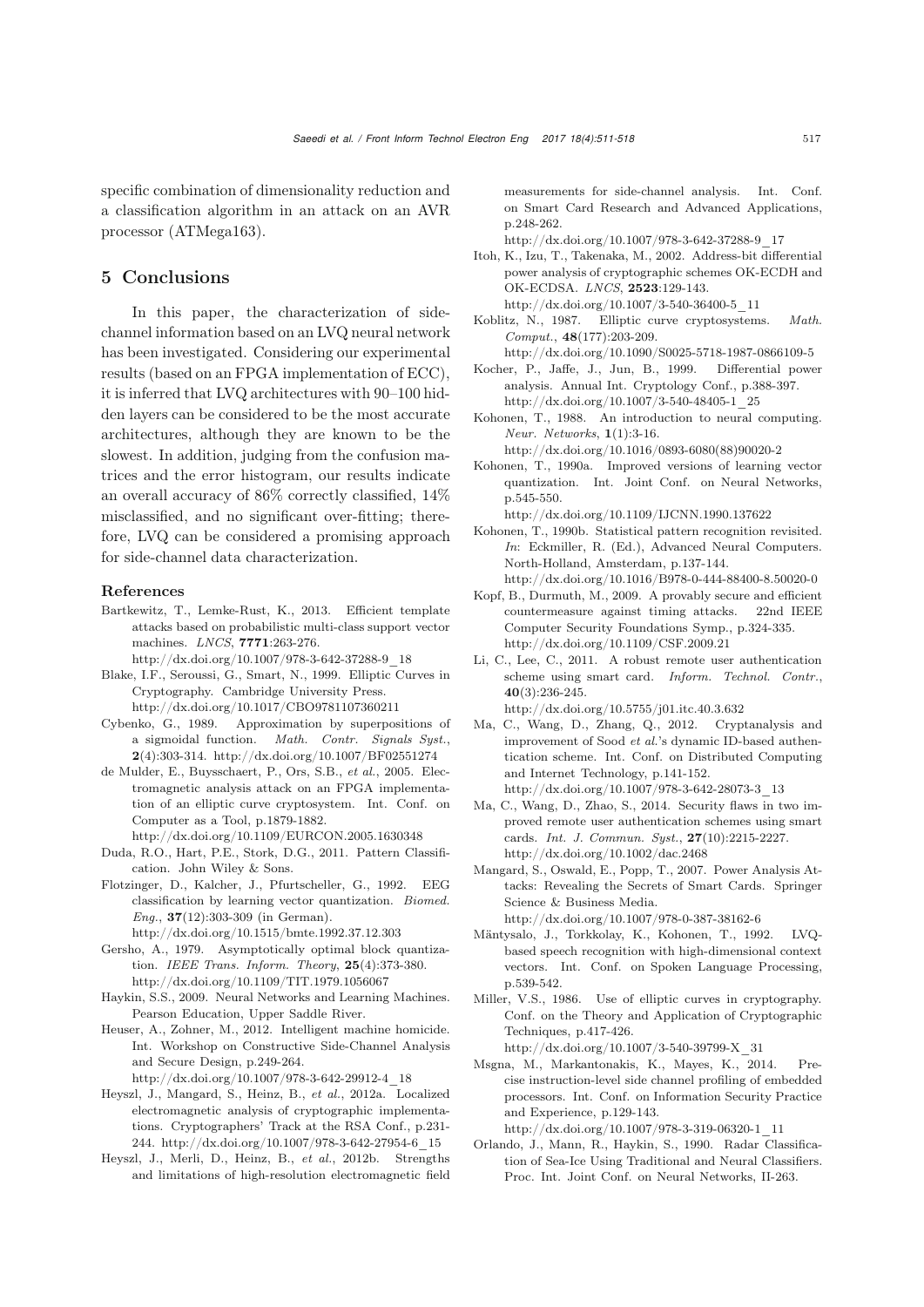specific combination of dimensionality reduction and a classification algorithm in an attack on an AVR processor (ATMega163).

#### 5 Conclusions

In this paper, the characterization of sidechannel information based on an LVQ neural network has been investigated. Considering our experimental results (based on an FPGA implementation of ECC), it is inferred that LVQ architectures with 90–100 hidden layers can be considered to be the most accurate architectures, although they are known to be the slowest. In addition, judging from the confusion matrices and the error histogram, our results indicate an overall accuracy of 86% correctly classified, 14% misclassified, and no significant over-fitting; therefore, LVQ can be considered a promising approach for side-channel data characterization.

#### References

- <span id="page-6-4"></span>Bartkewitz, T., Lemke-Rust, K., 2013. Efficient template attacks based on probabilistic multi-class support vector machines. *LNCS*, 7771:263-276.
	- http://dx.doi.org/10.1007/978-3-642-37288-9\_18
- <span id="page-6-13"></span>Blake, I.F., Seroussi, G., Smart, N., 1999. Elliptic Curves in Cryptography. Cambridge University Press. http://dx.doi.org/10.1017/CBO9781107360211
- <span id="page-6-5"></span>Cybenko, G., 1989. Approximation by superpositions of a sigmoidal function. *Math. Contr. Signals Syst.*, 2(4):303-314. http://dx.doi.org/10.1007/BF02551274
- <span id="page-6-2"></span>de Mulder, E., Buysschaert, P., Ors, S.B., *et al.*, 2005. Electromagnetic analysis attack on an FPGA implementation of an elliptic curve cryptosystem. Int. Conf. on Computer as a Tool, p.1879-1882.
	- http://dx.doi.org/10.1109/EURCON.2005.1630348
- <span id="page-6-19"></span>Duda, R.O., Hart, P.E., Stork, D.G., 2011. Pattern Classification. John Wiley & Sons.
- <span id="page-6-16"></span>Flotzinger, D., Kalcher, J., Pfurtscheller, G., 1992. EEG classification by learning vector quantization. *Biomed. Eng.*, 37(12):303-309 (in German). http://dx.doi.org/10.1515/bmte.1992.37.12.303
- <span id="page-6-17"></span>Gersho, A., 1979. Asymptotically optimal block quantization. *IEEE Trans. Inform. Theory*, 25(4):373-380. http://dx.doi.org/10.1109/TIT.1979.1056067
- <span id="page-6-6"></span>Haykin, S.S., 2009. Neural Networks and Learning Machines. Pearson Education, Upper Saddle River.
- <span id="page-6-3"></span>Heuser, A., Zohner, M., 2012. Intelligent machine homicide. Int. Workshop on Constructive Side-Channel Analysis and Secure Design, p.249-264. http://dx.doi.org/10.1007/978-3-642-29912-4\_18
- <span id="page-6-8"></span>Heyszl, J., Mangard, S., Heinz, B., *et al.*, 2012a. Localized electromagnetic analysis of cryptographic implementations. Cryptographers' Track at the RSA Conf., p.231- 244. http://dx.doi.org/10.1007/978-3-642-27954-6\_15
- <span id="page-6-20"></span>Heyszl, J., Merli, D., Heinz, B., *et al.*, 2012b. Strengths and limitations of high-resolution electromagnetic field

measurements for side-channel analysis. Int. Conf. on Smart Card Research and Advanced Applications, p.248-262.

http://dx.doi.org/10.1007/978-3-642-37288-9\_17

- <span id="page-6-9"></span>Itoh, K., Izu, T., Takenaka, M., 2002. Address-bit differential power analysis of cryptographic schemes OK-ECDH and OK-ECDSA. *LNCS*, 2523:129-143. http://dx.doi.org/10.1007/3-540-36400-5\_11
- <span id="page-6-12"></span>Koblitz, N., 1987. Elliptic curve cryptosystems. *Math. Comput.*, 48(177):203-209.
- http://dx.doi.org/10.1090/S0025-5718-1987-0866109-5
- <span id="page-6-1"></span>Kocher, P., Jaffe, J., Jun, B., 1999. Differential power analysis. Annual Int. Cryptology Conf., p.388-397. http://dx.doi.org/10.1007/3-540-48405-1\_25
- <span id="page-6-18"></span>Kohonen, T., 1988. An introduction to neural computing. *Neur. Networks*, 1(1):3-16.

http://dx.doi.org/10.1016/0893-6080(88)90020-2

Kohonen, T., 1990a. Improved versions of learning vector quantization. Int. Joint Conf. on Neural Networks, p.545-550.

http://dx.doi.org/10.1109/IJCNN.1990.137622

- Kohonen, T., 1990b. Statistical pattern recognition revisited. *In*: Eckmiller, R. (Ed.), Advanced Neural Computers. North-Holland, Amsterdam, p.137-144. http://dx.doi.org/10.1016/B978-0-444-88400-8.50020-0
- <span id="page-6-10"></span>Kopf, B., Durmuth, M., 2009. A provably secure and efficient countermeasure against timing attacks. 22nd IEEE Computer Security Foundations Symp., p.324-335. http://dx.doi.org/10.1109/CSF.2009.21
- <span id="page-6-0"></span>Li, C., Lee, C., 2011. A robust remote user authentication scheme using smart card. *Inform. Technol. Contr.*, 40(3):236-245. http://dx.doi.org/10.5755/j01.itc.40.3.632
- Ma, C., Wang, D., Zhang, Q., 2012. Cryptanalysis and improvement of Sood *et al.*'s dynamic ID-based authentication scheme. Int. Conf. on Distributed Computing and Internet Technology, p.141-152. http://dx.doi.org/10.1007/978-3-642-28073-3\_13
- Ma, C., Wang, D., Zhao, S., 2014. Security flaws in two improved remote user authentication schemes using smart cards. *Int. J. Commun. Syst.*, 27(10):2215-2227. http://dx.doi.org/10.1002/dac.2468
- <span id="page-6-7"></span>Mangard, S., Oswald, E., Popp, T., 2007. Power Analysis Attacks: Revealing the Secrets of Smart Cards. Springer Science & Business Media. http://dx.doi.org/10.1007/978-0-387-38162-6
- <span id="page-6-14"></span>Mäntysalo, J., Torkkolay, K., Kohonen, T., 1992. LVQbased speech recognition with high-dimensional context vectors. Int. Conf. on Spoken Language Processing, p.539-542.
- <span id="page-6-11"></span>Miller, V.S., 1986. Use of elliptic curves in cryptography. Conf. on the Theory and Application of Cryptographic Techniques, p.417-426. http://dx.doi.org/10.1007/3-540-39799-X\_31
- <span id="page-6-21"></span>Msgna, M., Markantonakis, K., Mayes, K., 2014. Precise instruction-level side channel profiling of embedded processors. Int. Conf. on Information Security Practice and Experience, p.129-143.

http://dx.doi.org/10.1007/978-3-319-06320-1\_11

<span id="page-6-15"></span>Orlando, J., Mann, R., Haykin, S., 1990. Radar Classification of Sea-Ice Using Traditional and Neural Classifiers. Proc. Int. Joint Conf. on Neural Networks, II-263.